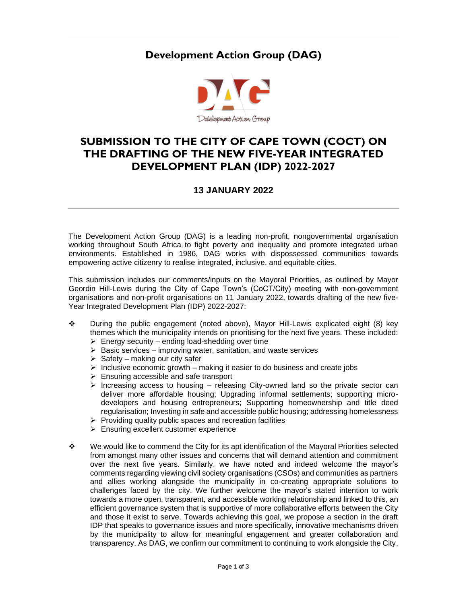## **Development Action Group (DAG)**



## **SUBMISSION TO THE CITY OF CAPE TOWN (COCT) ON THE DRAFTING OF THE NEW FIVE-YEAR INTEGRATED DEVELOPMENT PLAN (IDP) 2022-2027**

## **13 JANUARY 2022**

The Development Action Group (DAG) is a leading non-profit, nongovernmental organisation working throughout South Africa to fight poverty and inequality and promote integrated urban environments. Established in 1986, DAG works with dispossessed communities towards empowering active citizenry to realise integrated, inclusive, and equitable cities.

This submission includes our comments/inputs on the Mayoral Priorities, as outlined by Mayor Geordin Hill-Lewis during the City of Cape Town's (CoCT/City) meeting with non-government organisations and non-profit organisations on 11 January 2022, towards drafting of the new five-Year Integrated Development Plan (IDP) 2022-2027:

- ❖ During the public engagement (noted above), Mayor Hill-Lewis explicated eight (8) key themes which the municipality intends on prioritising for the next five years. These included:
	- $\triangleright$  Energy security ending load-shedding over time
	- $\triangleright$  Basic services improving water, sanitation, and waste services
	- $\triangleright$  Safety making our city safer
	- $\triangleright$  Inclusive economic growth making it easier to do business and create jobs
	- $\triangleright$  Ensuring accessible and safe transport
	- $\triangleright$  Increasing access to housing releasing City-owned land so the private sector can deliver more affordable housing; Upgrading informal settlements; supporting microdevelopers and housing entrepreneurs; Supporting homeownership and title deed regularisation; Investing in safe and accessible public housing; addressing homelessness
	- $\triangleright$  Providing quality public spaces and recreation facilities
	- ➢ Ensuring excellent customer experience
- ❖ We would like to commend the City for its apt identification of the Mayoral Priorities selected from amongst many other issues and concerns that will demand attention and commitment over the next five years. Similarly, we have noted and indeed welcome the mayor's comments regarding viewing civil society organisations (CSOs) and communities as partners and allies working alongside the municipality in co-creating appropriate solutions to challenges faced by the city. We further welcome the mayor's stated intention to work towards a more open, transparent, and accessible working relationship and linked to this, an efficient governance system that is supportive of more collaborative efforts between the City and those it exist to serve. Towards achieving this goal, we propose a section in the draft IDP that speaks to governance issues and more specifically, innovative mechanisms driven by the municipality to allow for meaningful engagement and greater collaboration and transparency. As DAG, we confirm our commitment to continuing to work alongside the City,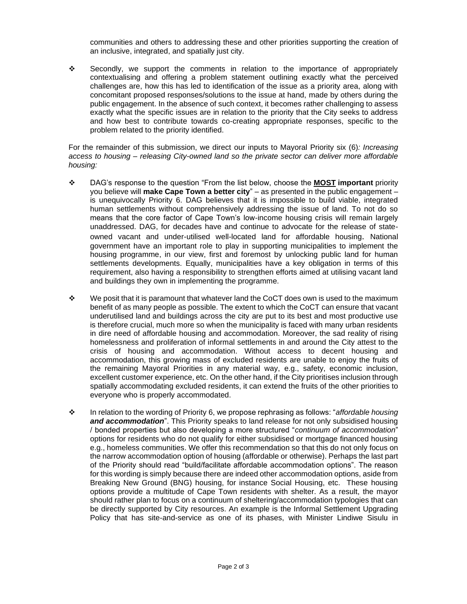communities and others to addressing these and other priorities supporting the creation of an inclusive, integrated, and spatially just city.

❖ Secondly, we support the comments in relation to the importance of appropriately contextualising and offering a problem statement outlining exactly what the perceived challenges are, how this has led to identification of the issue as a priority area, along with concomitant proposed responses/solutions to the issue at hand, made by others during the public engagement. In the absence of such context, it becomes rather challenging to assess exactly what the specific issues are in relation to the priority that the City seeks to address and how best to contribute towards co-creating appropriate responses, specific to the problem related to the priority identified.

For the remainder of this submission, we direct our inputs to Mayoral Priority six (6)*: Increasing access to housing – releasing City-owned land so the private sector can deliver more affordable housing:* 

- ❖ DAG's response to the question "From the list below, choose the **MOST important** priority you believe will **make Cape Town a better city**" – as presented in the public engagement – is unequivocally Priority 6. DAG believes that it is impossible to build viable, integrated human settlements without comprehensively addressing the issue of land. To not do so means that the core factor of Cape Town's low-income housing crisis will remain largely unaddressed. DAG, for decades have and continue to advocate for the release of stateowned vacant and under-utilised well-located land for affordable housing. National government have an important role to play in supporting municipalities to implement the housing programme, in our view, first and foremost by unlocking public land for human settlements developments. Equally, municipalities have a key obligation in terms of this requirement, also having a responsibility to strengthen efforts aimed at utilising vacant land and buildings they own in implementing the programme.
- ❖ We posit that it is paramount that whatever land the CoCT does own is used to the maximum benefit of as many people as possible. The extent to which the CoCT can ensure that vacant underutilised land and buildings across the city are put to its best and most productive use is therefore crucial, much more so when the municipality is faced with many urban residents in dire need of affordable housing and accommodation. Moreover, the sad reality of rising homelessness and proliferation of informal settlements in and around the City attest to the crisis of housing and accommodation. Without access to decent housing and accommodation, this growing mass of excluded residents are unable to enjoy the fruits of the remaining Mayoral Priorities in any material way, e.g., safety, economic inclusion, excellent customer experience, etc. On the other hand, if the City prioritises inclusion through spatially accommodating excluded residents, it can extend the fruits of the other priorities to everyone who is properly accommodated.
- ❖ In relation to the wording of Priority 6, we propose rephrasing as follows: "*affordable housing and accommodation*". This Priority speaks to land release for not only subsidised housing / bonded properties but also developing a more structured "*continuum of accommodation*" options for residents who do not qualify for either subsidised or mortgage financed housing e.g., homeless communities. We offer this recommendation so that this do not only focus on the narrow accommodation option of housing (affordable or otherwise). Perhaps the last part of the Priority should read "build/facilitate affordable accommodation options". The reason for this wording is simply because there are indeed other accommodation options, aside from Breaking New Ground (BNG) housing, for instance Social Housing, etc. These housing options provide a multitude of Cape Town residents with shelter. As a result, the mayor should rather plan to focus on a continuum of sheltering/accommodation typologies that can be directly supported by City resources. An example is the Informal Settlement Upgrading Policy that has site-and-service as one of its phases, with Minister Lindiwe Sisulu in